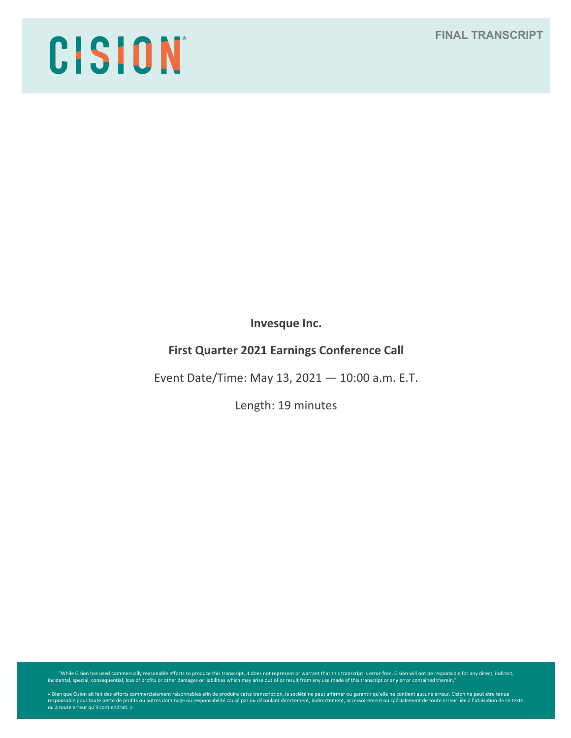# **FINAL TRANSCRIPT**

# CISION

**Invesque Inc.**

# **First Quarter 2021 Earnings Conference Call**

Event Date/Time: May 13, 2021 — 10:00 a.m. E.T.

Length: 19 minutes

While Cision has used commercially reasonable efforts to produce this transcript, it does not represent or warrant that this transcript is error-free. Cision will not be responsible for any direct, indirect, indirect, indi

« Bien que Cision ait fait des efforts commercialement raisonnables afin de produire cette transcription, la société ne peut affirmer ou garantir qu'elle ne contient aucune erreur. Cision ne peut être tenue<br>responsable pou ou à toute erreur qu'il contiendrait. »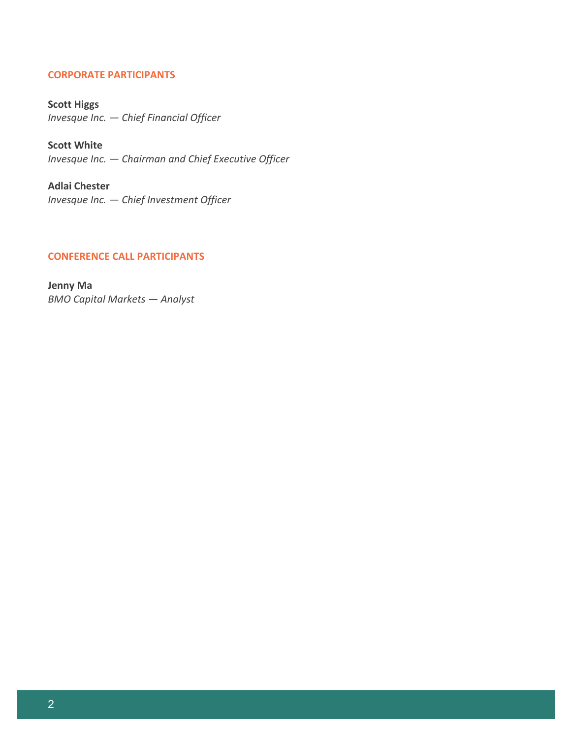## **CORPORATE PARTICIPANTS**

**Scott Higgs** *Invesque Inc. — Chief Financial Officer*

**Scott White** *Invesque Inc. — Chairman and Chief Executive Officer*

**Adlai Chester** *Invesque Inc. — Chief Investment Officer*

# **CONFERENCE CALL PARTICIPANTS**

**Jenny Ma** *BMO Capital Markets — Analyst*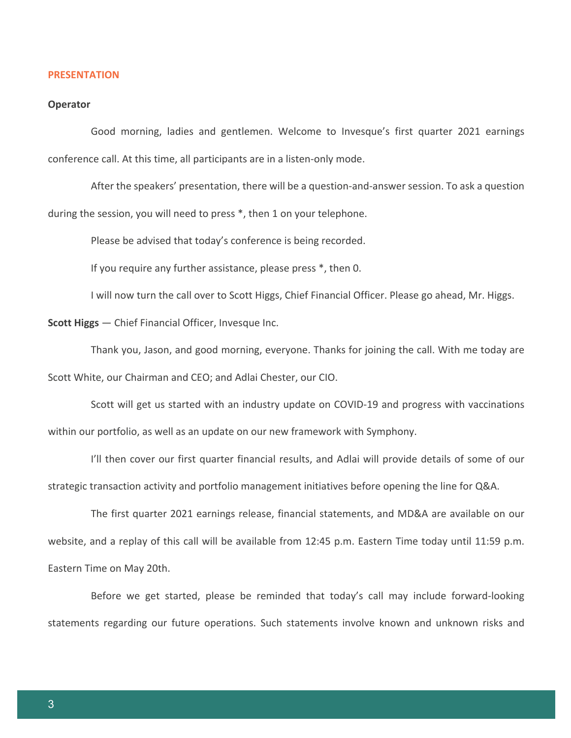#### **PRESENTATION**

#### **Operator**

Good morning, ladies and gentlemen. Welcome to Invesque's first quarter 2021 earnings conference call. At this time, all participants are in a listen-only mode.

After the speakers' presentation, there will be a question-and-answer session. To ask a question during the session, you will need to press \*, then 1 on your telephone.

Please be advised that today's conference is being recorded.

If you require any further assistance, please press \*, then 0.

I will now turn the call over to Scott Higgs, Chief Financial Officer. Please go ahead, Mr. Higgs.

**Scott Higgs** — Chief Financial Officer, Invesque Inc.

Thank you, Jason, and good morning, everyone. Thanks for joining the call. With me today are Scott White, our Chairman and CEO; and Adlai Chester, our CIO.

Scott will get us started with an industry update on COVID-19 and progress with vaccinations within our portfolio, as well as an update on our new framework with Symphony.

I'll then cover our first quarter financial results, and Adlai will provide details of some of our strategic transaction activity and portfolio management initiatives before opening the line for Q&A.

The first quarter 2021 earnings release, financial statements, and MD&A are available on our website, and a replay of this call will be available from 12:45 p.m. Eastern Time today until 11:59 p.m. Eastern Time on May 20th.

Before we get started, please be reminded that today's call may include forward-looking statements regarding our future operations. Such statements involve known and unknown risks and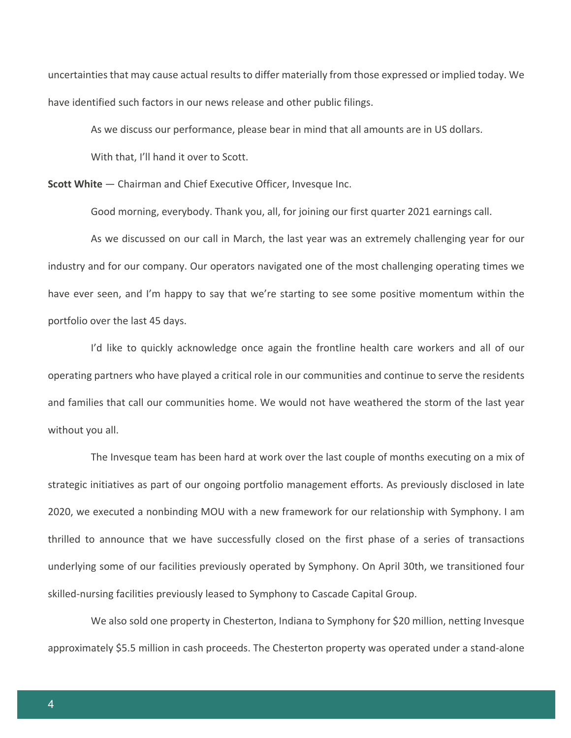uncertainties that may cause actual results to differ materially from those expressed or implied today. We have identified such factors in our news release and other public filings.

As we discuss our performance, please bear in mind that all amounts are in US dollars. With that, I'll hand it over to Scott.

**Scott White** — Chairman and Chief Executive Officer, Invesque Inc.

Good morning, everybody. Thank you, all, for joining our first quarter 2021 earnings call.

As we discussed on our call in March, the last year was an extremely challenging year for our industry and for our company. Our operators navigated one of the most challenging operating times we have ever seen, and I'm happy to say that we're starting to see some positive momentum within the portfolio over the last 45 days.

I'd like to quickly acknowledge once again the frontline health care workers and all of our operating partners who have played a critical role in our communities and continue to serve the residents and families that call our communities home. We would not have weathered the storm of the last year without you all.

The Invesque team has been hard at work over the last couple of months executing on a mix of strategic initiatives as part of our ongoing portfolio management efforts. As previously disclosed in late 2020, we executed a nonbinding MOU with a new framework for our relationship with Symphony. I am thrilled to announce that we have successfully closed on the first phase of a series of transactions underlying some of our facilities previously operated by Symphony. On April 30th, we transitioned four skilled-nursing facilities previously leased to Symphony to Cascade Capital Group.

We also sold one property in Chesterton, Indiana to Symphony for \$20 million, netting Invesque approximately \$5.5 million in cash proceeds. The Chesterton property was operated under a stand-alone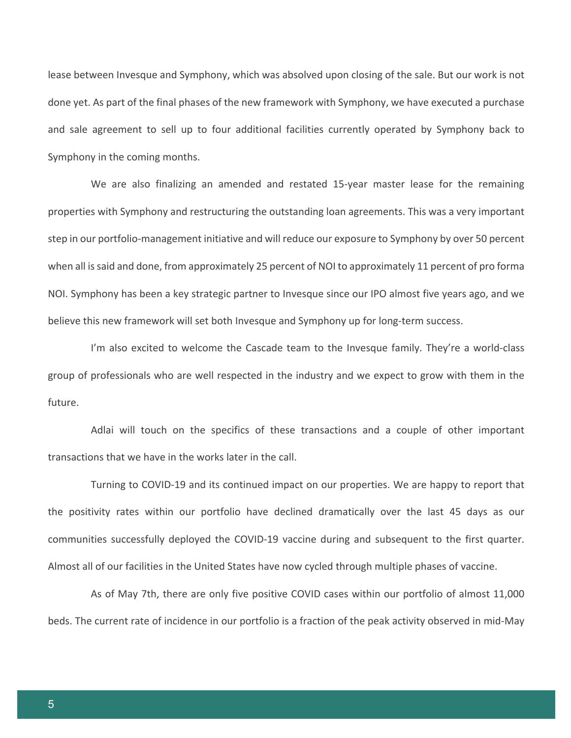lease between Invesque and Symphony, which was absolved upon closing of the sale. But our work is not done yet. As part of the final phases of the new framework with Symphony, we have executed a purchase and sale agreement to sell up to four additional facilities currently operated by Symphony back to Symphony in the coming months.

We are also finalizing an amended and restated 15-year master lease for the remaining properties with Symphony and restructuring the outstanding loan agreements. This was a very important step in our portfolio-management initiative and will reduce our exposure to Symphony by over 50 percent when all is said and done, from approximately 25 percent of NOI to approximately 11 percent of pro forma NOI. Symphony has been a key strategic partner to Invesque since our IPO almost five years ago, and we believe this new framework will set both Invesque and Symphony up for long-term success.

I'm also excited to welcome the Cascade team to the Invesque family. They're a world-class group of professionals who are well respected in the industry and we expect to grow with them in the future.

Adlai will touch on the specifics of these transactions and a couple of other important transactions that we have in the works later in the call.

Turning to COVID-19 and its continued impact on our properties. We are happy to report that the positivity rates within our portfolio have declined dramatically over the last 45 days as our communities successfully deployed the COVID-19 vaccine during and subsequent to the first quarter. Almost all of our facilities in the United States have now cycled through multiple phases of vaccine.

As of May 7th, there are only five positive COVID cases within our portfolio of almost 11,000 beds. The current rate of incidence in our portfolio is a fraction of the peak activity observed in mid-May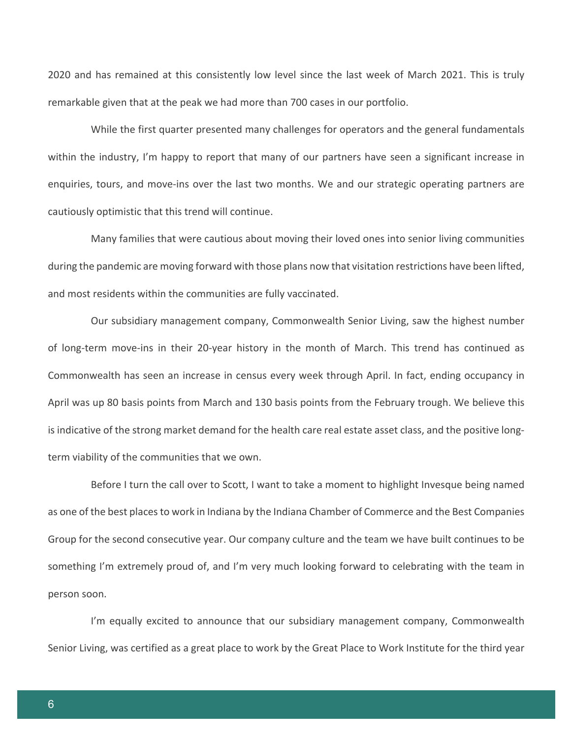2020 and has remained at this consistently low level since the last week of March 2021. This is truly remarkable given that at the peak we had more than 700 cases in our portfolio.

While the first quarter presented many challenges for operators and the general fundamentals within the industry, I'm happy to report that many of our partners have seen a significant increase in enquiries, tours, and move-ins over the last two months. We and our strategic operating partners are cautiously optimistic that this trend will continue.

Many families that were cautious about moving their loved ones into senior living communities during the pandemic are moving forward with those plans now that visitation restrictions have been lifted, and most residents within the communities are fully vaccinated.

Our subsidiary management company, Commonwealth Senior Living, saw the highest number of long-term move-ins in their 20-year history in the month of March. This trend has continued as Commonwealth has seen an increase in census every week through April. In fact, ending occupancy in April was up 80 basis points from March and 130 basis points from the February trough. We believe this is indicative of the strong market demand for the health care real estate asset class, and the positive longterm viability of the communities that we own.

Before I turn the call over to Scott, I want to take a moment to highlight Invesque being named as one of the best places to work in Indiana by the Indiana Chamber of Commerce and the Best Companies Group for the second consecutive year. Our company culture and the team we have built continues to be something I'm extremely proud of, and I'm very much looking forward to celebrating with the team in person soon.

I'm equally excited to announce that our subsidiary management company, Commonwealth Senior Living, was certified as a great place to work by the Great Place to Work Institute for the third year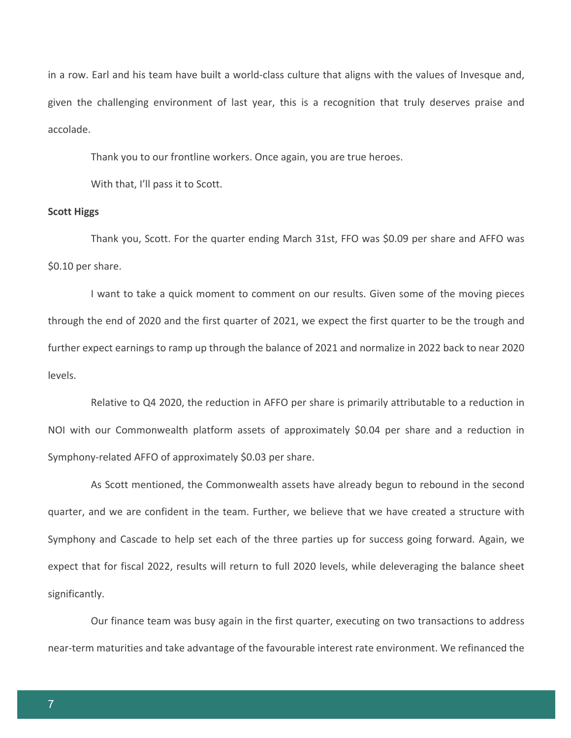in a row. Earl and his team have built a world-class culture that aligns with the values of Invesque and, given the challenging environment of last year, this is a recognition that truly deserves praise and accolade.

Thank you to our frontline workers. Once again, you are true heroes.

With that, I'll pass it to Scott.

#### **Scott Higgs**

Thank you, Scott. For the quarter ending March 31st, FFO was \$0.09 per share and AFFO was \$0.10 per share.

I want to take a quick moment to comment on our results. Given some of the moving pieces through the end of 2020 and the first quarter of 2021, we expect the first quarter to be the trough and further expect earnings to ramp up through the balance of 2021 and normalize in 2022 back to near 2020 levels.

Relative to Q4 2020, the reduction in AFFO per share is primarily attributable to a reduction in NOI with our Commonwealth platform assets of approximately \$0.04 per share and a reduction in Symphony-related AFFO of approximately \$0.03 per share.

As Scott mentioned, the Commonwealth assets have already begun to rebound in the second quarter, and we are confident in the team. Further, we believe that we have created a structure with Symphony and Cascade to help set each of the three parties up for success going forward. Again, we expect that for fiscal 2022, results will return to full 2020 levels, while deleveraging the balance sheet significantly.

Our finance team was busy again in the first quarter, executing on two transactions to address near-term maturities and take advantage of the favourable interest rate environment. We refinanced the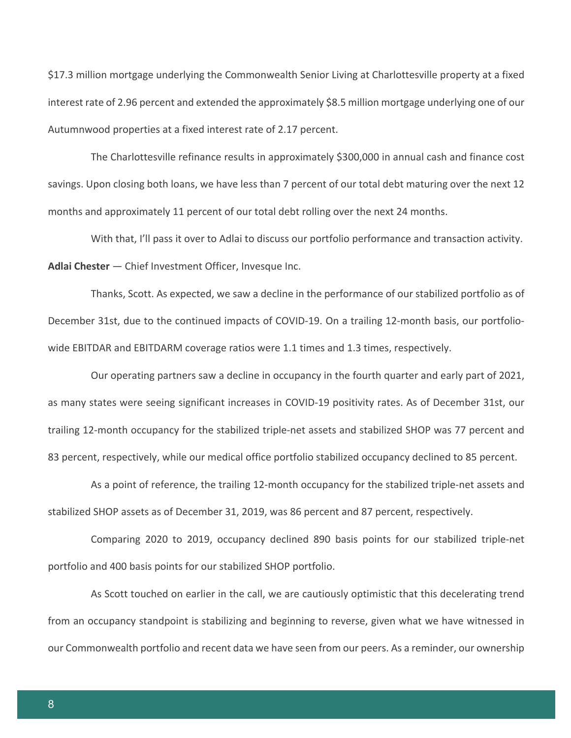\$17.3 million mortgage underlying the Commonwealth Senior Living at Charlottesville property at a fixed interest rate of 2.96 percent and extended the approximately \$8.5 million mortgage underlying one of our Autumnwood properties at a fixed interest rate of 2.17 percent.

The Charlottesville refinance results in approximately \$300,000 in annual cash and finance cost savings. Upon closing both loans, we have less than 7 percent of our total debt maturing over the next 12 months and approximately 11 percent of our total debt rolling over the next 24 months.

With that, I'll pass it over to Adlai to discuss our portfolio performance and transaction activity. **Adlai Chester** — Chief Investment Officer, Invesque Inc.

Thanks, Scott. As expected, we saw a decline in the performance of our stabilized portfolio as of December 31st, due to the continued impacts of COVID-19. On a trailing 12-month basis, our portfoliowide EBITDAR and EBITDARM coverage ratios were 1.1 times and 1.3 times, respectively.

Our operating partners saw a decline in occupancy in the fourth quarter and early part of 2021, as many states were seeing significant increases in COVID-19 positivity rates. As of December 31st, our trailing 12-month occupancy for the stabilized triple-net assets and stabilized SHOP was 77 percent and 83 percent, respectively, while our medical office portfolio stabilized occupancy declined to 85 percent.

As a point of reference, the trailing 12-month occupancy for the stabilized triple-net assets and stabilized SHOP assets as of December 31, 2019, was 86 percent and 87 percent, respectively.

Comparing 2020 to 2019, occupancy declined 890 basis points for our stabilized triple-net portfolio and 400 basis points for our stabilized SHOP portfolio.

As Scott touched on earlier in the call, we are cautiously optimistic that this decelerating trend from an occupancy standpoint is stabilizing and beginning to reverse, given what we have witnessed in our Commonwealth portfolio and recent data we have seen from our peers. As a reminder, our ownership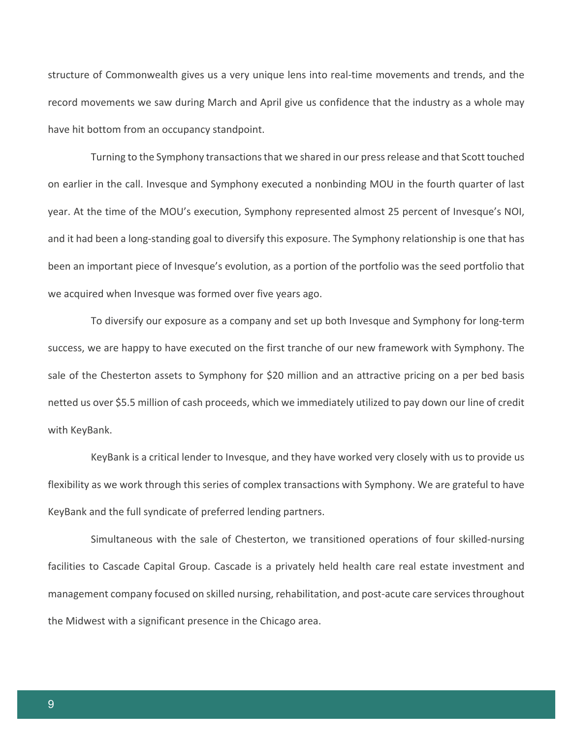structure of Commonwealth gives us a very unique lens into real-time movements and trends, and the record movements we saw during March and April give us confidence that the industry as a whole may have hit bottom from an occupancy standpoint.

Turning to the Symphony transactions that we shared in our press release and that Scott touched on earlier in the call. Invesque and Symphony executed a nonbinding MOU in the fourth quarter of last year. At the time of the MOU's execution, Symphony represented almost 25 percent of Invesque's NOI, and it had been a long-standing goal to diversify this exposure. The Symphony relationship is one that has been an important piece of Invesque's evolution, as a portion of the portfolio was the seed portfolio that we acquired when Invesque was formed over five years ago.

To diversify our exposure as a company and set up both Invesque and Symphony for long-term success, we are happy to have executed on the first tranche of our new framework with Symphony. The sale of the Chesterton assets to Symphony for \$20 million and an attractive pricing on a per bed basis netted us over \$5.5 million of cash proceeds, which we immediately utilized to pay down our line of credit with KeyBank.

KeyBank is a critical lender to Invesque, and they have worked very closely with us to provide us flexibility as we work through this series of complex transactions with Symphony. We are grateful to have KeyBank and the full syndicate of preferred lending partners.

Simultaneous with the sale of Chesterton, we transitioned operations of four skilled-nursing facilities to Cascade Capital Group. Cascade is a privately held health care real estate investment and management company focused on skilled nursing, rehabilitation, and post-acute care services throughout the Midwest with a significant presence in the Chicago area.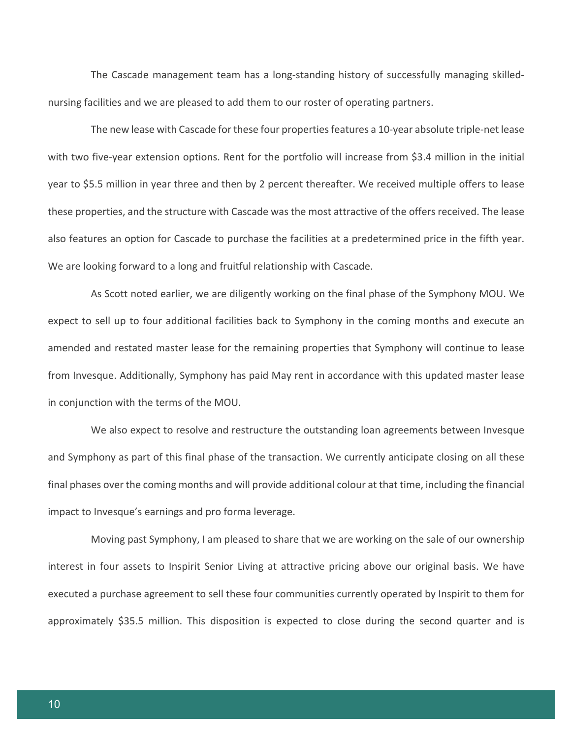The Cascade management team has a long-standing history of successfully managing skillednursing facilities and we are pleased to add them to our roster of operating partners.

The new lease with Cascade for these four properties features a 10-year absolute triple-net lease with two five-year extension options. Rent for the portfolio will increase from \$3.4 million in the initial year to \$5.5 million in year three and then by 2 percent thereafter. We received multiple offers to lease these properties, and the structure with Cascade was the most attractive of the offers received. The lease also features an option for Cascade to purchase the facilities at a predetermined price in the fifth year. We are looking forward to a long and fruitful relationship with Cascade.

As Scott noted earlier, we are diligently working on the final phase of the Symphony MOU. We expect to sell up to four additional facilities back to Symphony in the coming months and execute an amended and restated master lease for the remaining properties that Symphony will continue to lease from Invesque. Additionally, Symphony has paid May rent in accordance with this updated master lease in conjunction with the terms of the MOU.

We also expect to resolve and restructure the outstanding loan agreements between Invesque and Symphony as part of this final phase of the transaction. We currently anticipate closing on all these final phases over the coming months and will provide additional colour at that time, including the financial impact to Invesque's earnings and pro forma leverage.

Moving past Symphony, I am pleased to share that we are working on the sale of our ownership interest in four assets to Inspirit Senior Living at attractive pricing above our original basis. We have executed a purchase agreement to sell these four communities currently operated by Inspirit to them for approximately \$35.5 million. This disposition is expected to close during the second quarter and is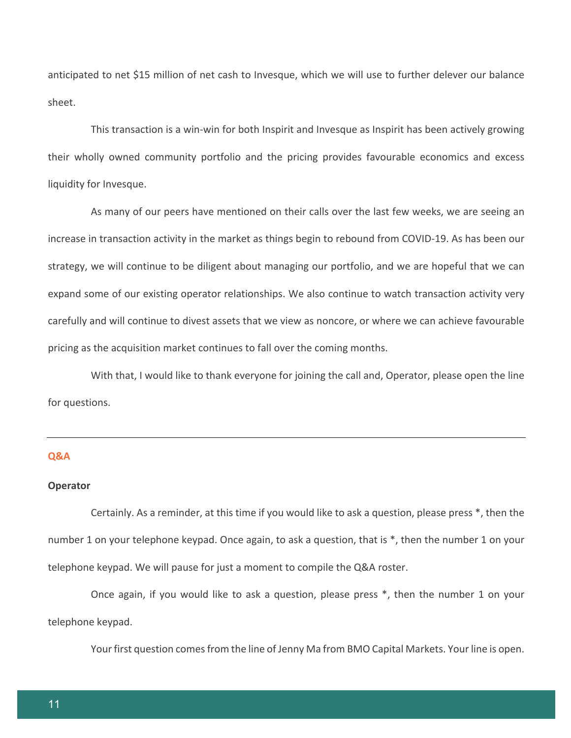anticipated to net \$15 million of net cash to Invesque, which we will use to further delever our balance sheet.

This transaction is a win-win for both Inspirit and Invesque as Inspirit has been actively growing their wholly owned community portfolio and the pricing provides favourable economics and excess liquidity for Invesque.

As many of our peers have mentioned on their calls over the last few weeks, we are seeing an increase in transaction activity in the market as things begin to rebound from COVID-19. As has been our strategy, we will continue to be diligent about managing our portfolio, and we are hopeful that we can expand some of our existing operator relationships. We also continue to watch transaction activity very carefully and will continue to divest assets that we view as noncore, or where we can achieve favourable pricing as the acquisition market continues to fall over the coming months.

With that, I would like to thank everyone for joining the call and, Operator, please open the line for questions.

## **Q&A**

#### **Operator**

Certainly. As a reminder, at this time if you would like to ask a question, please press \*, then the number 1 on your telephone keypad. Once again, to ask a question, that is \*, then the number 1 on your telephone keypad. We will pause for just a moment to compile the Q&A roster.

Once again, if you would like to ask a question, please press \*, then the number 1 on your telephone keypad.

Your first question comes from the line of Jenny Ma from BMO Capital Markets. Your line is open.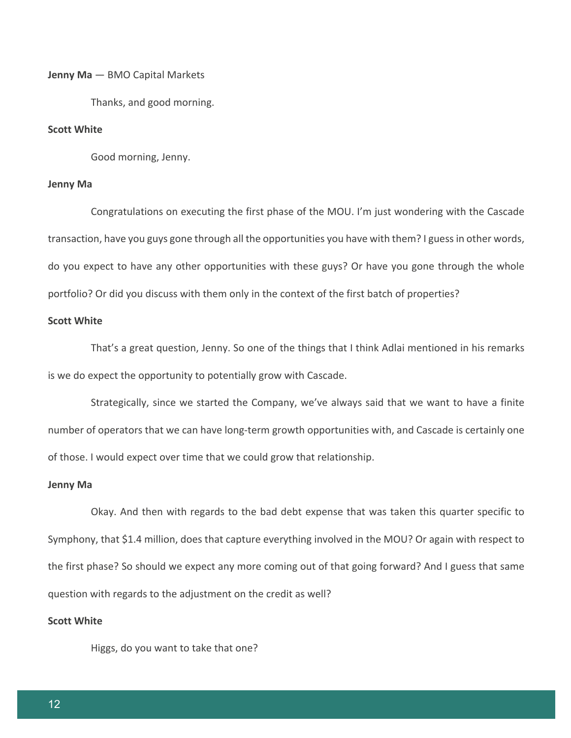#### **Jenny Ma** — BMO Capital Markets

Thanks, and good morning.

# **Scott White**

Good morning, Jenny.

# **Jenny Ma**

Congratulations on executing the first phase of the MOU. I'm just wondering with the Cascade transaction, have you guys gone through all the opportunities you have with them? I guess in other words, do you expect to have any other opportunities with these guys? Or have you gone through the whole portfolio? Or did you discuss with them only in the context of the first batch of properties?

## **Scott White**

That's a great question, Jenny. So one of the things that I think Adlai mentioned in his remarks is we do expect the opportunity to potentially grow with Cascade.

Strategically, since we started the Company, we've always said that we want to have a finite number of operators that we can have long-term growth opportunities with, and Cascade is certainly one of those. I would expect over time that we could grow that relationship.

#### **Jenny Ma**

Okay. And then with regards to the bad debt expense that was taken this quarter specific to Symphony, that \$1.4 million, does that capture everything involved in the MOU? Or again with respect to the first phase? So should we expect any more coming out of that going forward? And I guess that same question with regards to the adjustment on the credit as well?

# **Scott White**

Higgs, do you want to take that one?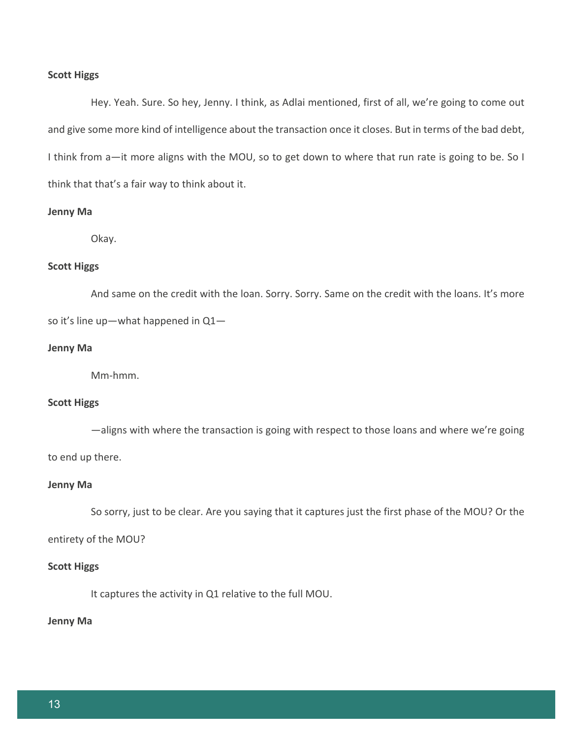#### **Scott Higgs**

Hey. Yeah. Sure. So hey, Jenny. I think, as Adlai mentioned, first of all, we're going to come out and give some more kind of intelligence about the transaction once it closes. But in terms of the bad debt, I think from a—it more aligns with the MOU, so to get down to where that run rate is going to be. So I think that that's a fair way to think about it.

## **Jenny Ma**

Okay.

## **Scott Higgs**

And same on the credit with the loan. Sorry. Sorry. Same on the credit with the loans. It's more so it's line up—what happened in Q1—

## **Jenny Ma**

Mm-hmm.

## **Scott Higgs**

—aligns with where the transaction is going with respect to those loans and where we're going to end up there.

#### **Jenny Ma**

So sorry, just to be clear. Are you saying that it captures just the first phase of the MOU? Or the

#### entirety of the MOU?

#### **Scott Higgs**

It captures the activity in Q1 relative to the full MOU.

#### **Jenny Ma**